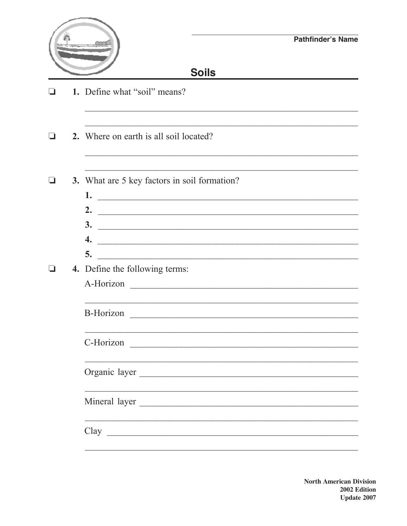|              |  |                                                                                                                                                                                                                                                                             | <b>Pathfinder's Name</b>                                                                                             |  |  |
|--------------|--|-----------------------------------------------------------------------------------------------------------------------------------------------------------------------------------------------------------------------------------------------------------------------------|----------------------------------------------------------------------------------------------------------------------|--|--|
| <b>Soils</b> |  |                                                                                                                                                                                                                                                                             |                                                                                                                      |  |  |
|              |  | 1. Define what "soil" means?                                                                                                                                                                                                                                                |                                                                                                                      |  |  |
|              |  | 2. Where on earth is all soil located?                                                                                                                                                                                                                                      |                                                                                                                      |  |  |
|              |  | 3. What are 5 key factors in soil formation?                                                                                                                                                                                                                                |                                                                                                                      |  |  |
|              |  | $\frac{1}{2}$ . $\frac{1}{2}$ . The set of $\frac{1}{2}$ is the set of $\frac{1}{2}$ is the set of $\frac{1}{2}$ is the set of $\frac{1}{2}$ is the set of $\frac{1}{2}$ is the set of $\frac{1}{2}$ is the set of $\frac{1}{2}$ is the set of $\frac{1}{2}$ is the s<br>2. | <u> Alexandria de la contrada de la contrada de la contrada de la contrada de la contrada de la contrada de la c</u> |  |  |
|              |  |                                                                                                                                                                                                                                                                             | $\frac{3}{2}$                                                                                                        |  |  |
|              |  | $\boldsymbol{4}$ .                                                                                                                                                                                                                                                          |                                                                                                                      |  |  |
|              |  | 5.<br>4. Define the following terms:                                                                                                                                                                                                                                        |                                                                                                                      |  |  |
|              |  | A-Horizon                                                                                                                                                                                                                                                                   |                                                                                                                      |  |  |
|              |  | <b>B-Horizon</b><br><u> 1980 - Johann Barbara, martxa alemaniar argumento estas estas estas estas estas estas estas estas estas estas </u>                                                                                                                                  |                                                                                                                      |  |  |
|              |  | C-Horizon                                                                                                                                                                                                                                                                   |                                                                                                                      |  |  |
|              |  | Organic layer                                                                                                                                                                                                                                                               |                                                                                                                      |  |  |
|              |  | Mineral layer                                                                                                                                                                                                                                                               |                                                                                                                      |  |  |
|              |  | Clay                                                                                                                                                                                                                                                                        |                                                                                                                      |  |  |
|              |  |                                                                                                                                                                                                                                                                             |                                                                                                                      |  |  |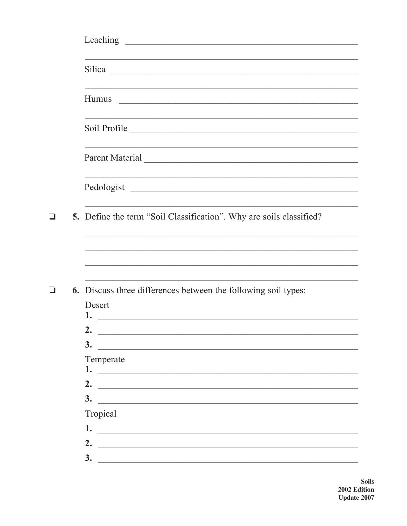|  | Silica expression and the set of the set of the set of the set of the set of the set of the set of the set of the set of the set of the set of the set of the set of the set of the set of the set of the set of the set of th |
|--|--------------------------------------------------------------------------------------------------------------------------------------------------------------------------------------------------------------------------------|
|  |                                                                                                                                                                                                                                |
|  | Soil Profile                                                                                                                                                                                                                   |
|  |                                                                                                                                                                                                                                |
|  | Pedologist                                                                                                                                                                                                                     |
|  | 5. Define the term "Soil Classification". Why are soils classified?                                                                                                                                                            |
|  |                                                                                                                                                                                                                                |
|  | <b>6.</b> Discuss three differences between the following soil types:                                                                                                                                                          |
|  | Desert                                                                                                                                                                                                                         |
|  | 1.<br><u> 1980 - Johann Stoff, deutscher Stoff, der Stoff, der Stoff, der Stoff, der Stoff, der Stoff, der Stoff, der S</u>                                                                                                    |
|  | 2.<br>3.                                                                                                                                                                                                                       |
|  | Temperate                                                                                                                                                                                                                      |
|  | 1.                                                                                                                                                                                                                             |
|  | 2. $\qquad \qquad$                                                                                                                                                                                                             |
|  | $\frac{3}{2}$                                                                                                                                                                                                                  |
|  | Tropical                                                                                                                                                                                                                       |
|  |                                                                                                                                                                                                                                |
|  | 2.                                                                                                                                                                                                                             |
|  | 3.<br><u> 1989 - Johann Stein, mars an deus Amerikaansk kommunister (</u>                                                                                                                                                      |

Soils 2002 Edition<br>Update 2007